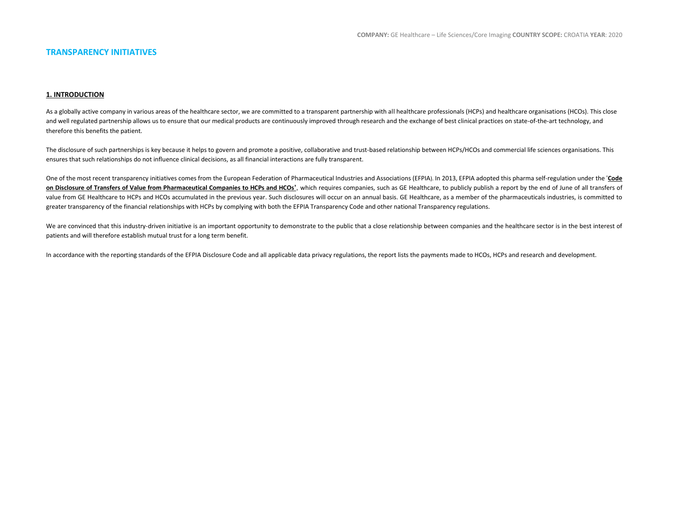## **TRANSPARENCY INITIATIVES**

## **1. INTRODUCTION**

As a globally active company in various areas of the healthcare sector, we are committed to a transparent partnership with all healthcare professionals (HCPs) and healthcare organisations (HCOs). This close and well regulated partnership allows us to ensure that our medical products are continuously improved through research and the exchange of best clinical practices on state-of-the-art technology, and therefore this benefits the patient.

The disclosure of such partnerships is key because it helps to govern and promote a positive, collaborative and trust-based relationship between HCPs/HCOs and commercial life sciences organisations. This ensures that such relationships do not influence clinical decisions, as all financial interactions are fully transparent.

One of the most recent transparency initiatives comes from the European Federation of Pharmaceutical Industries and Associations (EFPIA). In 2013, EFPIA adopted this pharma self-regulation under the '**[Code](http://transparency.efpia.eu/the-efpia-code-2)  [on Disclosure of Transfers of Value from Pharmaceutical Companies to HCPs and HCOs](http://transparency.efpia.eu/the-efpia-code-2)'**, which requires companies, such as GE Healthcare, to publicly publish a report by the end of June of all transfers of value from GE Healthcare to HCPs and HCOs accumulated in the previous year. Such disclosures will occur on an annual basis. GE Healthcare, as a member of the pharmaceuticals industries, is committed to greater transparency of the financial relationships with HCPs by complying with both the EFPIA Transparency Code and other national Transparency regulations.

We are convinced that this industry-driven initiative is an important opportunity to demonstrate to the public that a close relationship between companies and the healthcare sector is in the best interest of patients and will therefore establish mutual trust for a long term benefit.

In accordance with the reporting standards of the EFPIA Disclosure Code and all applicable data privacy regulations, the report lists the payments made to HCOs, HCPs and research and development.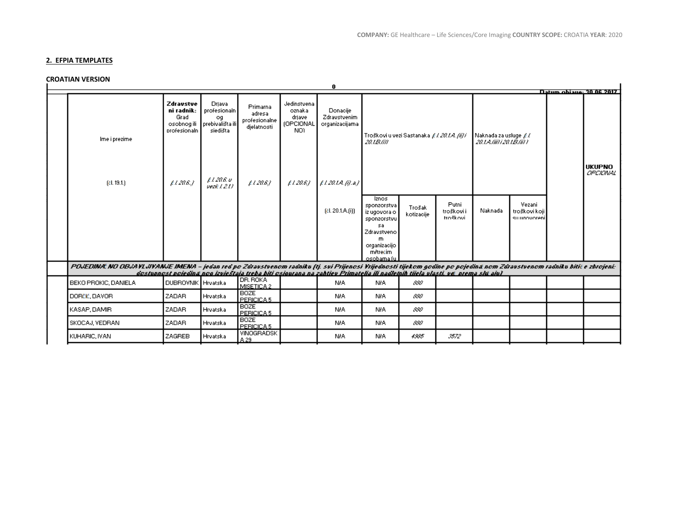# **2. EFPIA TEMPLATES**

# **CROATIAN VERSION**

| ייטוניה ייבודי השיוט                                                                                                                                                     |                                                                |                                                              |                                                    |                                                            | 0                                                                                                                                   |                                                                  |                                           |                                              |         |                                        |  | Datum obiane: 30 OS 2017         |
|--------------------------------------------------------------------------------------------------------------------------------------------------------------------------|----------------------------------------------------------------|--------------------------------------------------------------|----------------------------------------------------|------------------------------------------------------------|-------------------------------------------------------------------------------------------------------------------------------------|------------------------------------------------------------------|-------------------------------------------|----------------------------------------------|---------|----------------------------------------|--|----------------------------------|
| Ime i prezime                                                                                                                                                            | Zdravstve<br>ni radnik:<br>Grad<br>osobnog ili<br>profesionaln | Driava<br>profesionaln<br>og<br>prebivališta ili<br>siedišta | Primarna<br>adresa<br>profesionalne<br>djelatnosti | Jedinstvena<br>oznaka<br>driave<br><b>(OPCIONAL</b><br>NO) | Donacije<br>Zdravstvenim<br>organizacijama                                                                                          | 20.1B/ill                                                        | Troškovi u vezi Sastanaka £1.201A. (ii) i | Naknada za usluge £%<br>201A/iii) 201B/ii) 1 |         |                                        |  |                                  |
| $[$ čl. 19.1. $]$                                                                                                                                                        | 1206.7                                                         | $\mu$ l 20.6 v<br>vezë 1.211                                 | $12a$ 6)                                           | 12a6                                                       | 1201A(0.a)                                                                                                                          |                                                                  |                                           |                                              |         |                                        |  | <b>UKUPNO</b><br><b>GPOIONAL</b> |
|                                                                                                                                                                          |                                                                |                                                              |                                                    |                                                            | [el. 20.1.A.[i])                                                                                                                    | Iznos<br>sponzorstva<br>iz ugovora o<br>sponzorstvu              | Trošak<br>kotizacije                      | Putni<br>troškovi i<br>troškovi              | Naknada | Vezani<br>troškovi koji<br>suunnvoreni |  |                                  |
|                                                                                                                                                                          |                                                                |                                                              |                                                    |                                                            |                                                                                                                                     | sa<br>Zdravstveno<br>m<br>organizacijo<br>mitrecim<br>osobama (u |                                           |                                              |         |                                        |  |                                  |
| POJEDINA. NO OBJAYLJYANJE IMENA - jedan red po Zdravstvenom radniku (tj. svi Prijenosti Vijednosti tijekom godine po pojedina nom Zdravstvenom radniku biti: e zbrojeni: |                                                                |                                                              |                                                    |                                                            |                                                                                                                                     |                                                                  |                                           |                                              |         |                                        |  |                                  |
| BEKO PROKIC, DANIELA                                                                                                                                                     | DUBROVNIK Hrvatska                                             |                                                              | DR. ROKA<br>MISETICA 2                             |                                                            | dostupnost pojedina nog izvještaja treba biti osjqurana na zahtjev Primatelja ili nadletnih tijela vlasti, ve prema slu ajuž<br>N/A | N/A                                                              | 880                                       |                                              |         |                                        |  |                                  |
| DORČIĆ, DAVORI                                                                                                                                                           | <b>ZADAR</b>                                                   | Hrvatska                                                     | <b>BOZE</b><br>PERICICA <sub>5</sub>               |                                                            | NIA.                                                                                                                                | N/A                                                              | 880                                       |                                              |         |                                        |  |                                  |
| KASAP, DAMIR                                                                                                                                                             | ZADAR                                                          | Hrvatska                                                     | <b>BOZE</b><br>PERICICA <sub>5</sub>               |                                                            | <b>NIA</b>                                                                                                                          | N/A                                                              | 880                                       |                                              |         |                                        |  |                                  |
| SKOCAJ, VEDRAN                                                                                                                                                           | ZADAR                                                          | Hrvatska                                                     | <b>BOZE</b><br>PERICICA 5                          |                                                            | N/A                                                                                                                                 | N/A                                                              | 880                                       |                                              |         |                                        |  |                                  |
| KUHARIC, IVAN                                                                                                                                                            | ZAGREB                                                         | Hrvatska                                                     | VINOGRADSK<br>A 29.                                |                                                            | N/A                                                                                                                                 | N/A                                                              | 4335                                      | 3572                                         |         |                                        |  |                                  |
|                                                                                                                                                                          |                                                                |                                                              |                                                    |                                                            |                                                                                                                                     |                                                                  |                                           |                                              |         |                                        |  |                                  |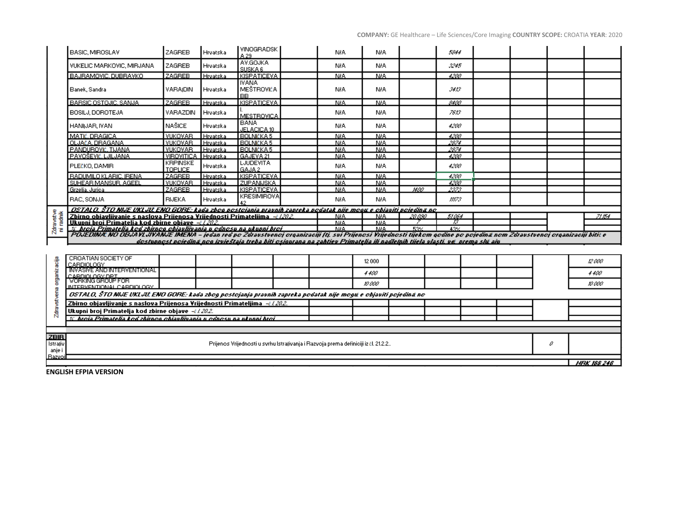|                    | BASIC, MIROSLAV                                                                                                                                                          | ZAGREB                            | Hrvatska        | <b>VINOGRADSK</b><br>A 29.                                                                                                   | N/A                | N/A                      |         | 5844        |  |   |             |       |
|--------------------|--------------------------------------------------------------------------------------------------------------------------------------------------------------------------|-----------------------------------|-----------------|------------------------------------------------------------------------------------------------------------------------------|--------------------|--------------------------|---------|-------------|--|---|-------------|-------|
|                    | VUKELIC MARKOVIC, MIRJANA                                                                                                                                                | <b>ZAGREB</b>                     | Hrvatska        | AV.GOJKA<br>SUSKA 6                                                                                                          | NIA.               | N/A                      |         | 3245        |  |   |             |       |
|                    | BAJRAMOVIC, DUBRAVKO                                                                                                                                                     | <b>ZAGREB</b>                     | Hrvatska        | KISPATICEVA                                                                                                                  | <b>NIA</b>         | <b>N/A</b>               |         | 4200        |  |   |             |       |
|                    | Banek, Sandra                                                                                                                                                            | VARAIDIN                          | Hrvatska        | <b>IVANA</b><br>MEŠTROVIĆA<br>BB                                                                                             | NIA.               | NIA.                     |         | 3413.       |  |   |             |       |
|                    | BARSIC OSTOJIC, SANJA                                                                                                                                                    | <b>ZAGREB</b>                     | Hrvatska        | <b>KISPATICEVA</b>                                                                                                           | NIA.               | <b>NIA</b>               |         | 8400        |  |   |             |       |
|                    | BOSILJ, DOROTEJA                                                                                                                                                         | VARAZDIN                          | <b>Hrvatska</b> | MESTROVICA                                                                                                                   | NIA.               | N/A                      |         | 7613.       |  |   |             |       |
|                    | HANIJAR, IVAN                                                                                                                                                            | NAŠICE.                           | Hrvatska        | <b>BANA</b><br>JELACICA 10                                                                                                   | NIA.               | N/A                      |         | 4200        |  |   |             |       |
|                    | MATÉ, DRAGICA                                                                                                                                                            | VUKOVAR                           | Hrvatska        | <b>BOLNIČKA 5</b>                                                                                                            | <b>NIA</b>         | <b>N/A</b>               |         | 4200.       |  |   |             |       |
|                    | OLJAČA, DRAGANA                                                                                                                                                          | <b>VUKOVAR</b>                    | Hrvatska        | <b>BOLNIČKA 5</b>                                                                                                            | <b>NIA</b>         | <b>NIA</b>               |         | 2874        |  |   |             |       |
|                    | PANDUROVIĆ, TIJANA                                                                                                                                                       | <b>VUKOVAR</b>                    | Hrvatska        | <b>BOLNIČKA 5</b>                                                                                                            | <b>NIA</b>         | <b>NIA</b>               |         | 2874        |  |   |             |       |
|                    | PAVOŠEVIĆ, LJILJANA                                                                                                                                                      | VIROVITICA Hrvatska               |                 | GAJEVA 21                                                                                                                    | NIA                | <b>NIA</b>               |         | 4200        |  |   |             |       |
|                    | PLEČKO, DAMIR                                                                                                                                                            | <b>KRPINSKE</b><br><b>TOPLICE</b> | Hrvatska        | <b>LJUDEVITA</b><br>GAJA 2                                                                                                   | NIA.               | N/A                      |         | 4200        |  |   |             |       |
|                    | <b>RADUMILO KLARIC, IRENA</b>                                                                                                                                            | <b>ZAGREB</b>                     | Hrvatska        | <b>KISPATICEVA</b>                                                                                                           | <b>NIA</b>         | <b>N/A</b>               |         | 4200        |  |   |             |       |
|                    | SUHEAR MANSUR, AGEEL                                                                                                                                                     | <b>VUKOVAR</b>                    | Hrvatska        | <b>ZUPANIJSKA</b>                                                                                                            | NIA.               | <b>N/A</b>               |         | 4200        |  |   |             |       |
|                    | Grzelia, Jurica                                                                                                                                                          | ZAGREB                            | Hrvatska        | KISPATICEVA<br><b>KRESIMIROVA</b>                                                                                            | <b>NIA</b>         | <b>NIA</b>               | 1400    | 2373        |  |   |             |       |
|                    | RAC, SONJA                                                                                                                                                               | <b>RIJEKA</b>                     | Hrvatska        |                                                                                                                              | NIA.               | N/A                      |         | 11173       |  |   |             |       |
|                    | OSTALO. ŜTO NIJE UKLJU ENO GORE: kada zbog postojanja pravnih zapreka podatak nije mogu e objaviti pojedina no                                                           |                                   |                 |                                                                                                                              |                    |                          |         |             |  |   |             |       |
| <b>Zdravstve</b>   | Zbirno obiavlijvanje s naslova Prijenosa Vrijednosti Primateljima - $\epsilon/222$                                                                                       |                                   |                 |                                                                                                                              | NIA.               | <b>N/A</b>               | 20 O.SO | 51064<br>73 |  |   |             | 71154 |
|                    | Ukupni broi Primatelia kod zbirne obiave -¿/2022<br>% broja Primatelja kod zbirnog objavljivanja u odnosu na ukupni broj i                                               |                                   |                 |                                                                                                                              | <b>NIA</b><br>NRA. | <b>NRA</b><br><b>NRA</b> | 53%     | 43%         |  |   |             |       |
|                    | POJEDINA. NO OBJAYLJYANJE IMENA - jedan red po Zdravstvenoj organizaciji (ti, svi Prijenosi Yrijednosti tijekom godine po pojedina nom Zdravstvenoj organizaciji biti: e |                                   |                 |                                                                                                                              |                    |                          |         |             |  |   |             |       |
|                    |                                                                                                                                                                          |                                   |                 | dostupnost pojedinā nog izvieštaja treba biti osigurana na zahtiev Primatelia ili nadlelnih tijela vlasti, vei prema slu aju |                    |                          |         |             |  |   |             |       |
|                    |                                                                                                                                                                          |                                   |                 |                                                                                                                              |                    |                          |         |             |  |   |             |       |
|                    | CROATIAN SOCIETY OF<br>CARDIOLOGY                                                                                                                                        |                                   |                 |                                                                                                                              |                    | 12 000                   |         |             |  |   | 12 aaa      |       |
| organizacija       | <b>INVASIVE AND INTERVENTIONAL</b><br>CARDIOLOGY DRI                                                                                                                     |                                   |                 |                                                                                                                              |                    | 4400                     |         |             |  |   | 4400 -      |       |
|                    | VORKING GROUP FOR<br>INTERVENTIONAL CARDIOLOGY                                                                                                                           |                                   |                 |                                                                                                                              |                    | ro acc                   |         |             |  |   | n aac       |       |
| Zdravstvena        | OSTALO, ŠTO NIJE UKLJU. ENO GORE: kada zbog postojanja pravnih zapreka podatak nije mogu e objaviti pojedina no                                                          |                                   |                 |                                                                                                                              |                    |                          |         |             |  |   |             |       |
|                    | Zbirno objavljivanje s naslova Prijenosa Vrijednosti Primateljima +t/2022.                                                                                               |                                   |                 |                                                                                                                              |                    |                          |         |             |  |   |             |       |
|                    | Ukupni broj Primatelja kod zbirne objave -i / 202.                                                                                                                       |                                   |                 |                                                                                                                              |                    |                          |         |             |  |   |             |       |
|                    | % htois Primatelia kod zhirnon ohiavliivania u odnosu na ukunni htoi-                                                                                                    |                                   |                 |                                                                                                                              |                    |                          |         |             |  |   |             |       |
|                    |                                                                                                                                                                          |                                   |                 |                                                                                                                              |                    |                          |         |             |  |   |             |       |
| <b>ZBIR</b>        |                                                                                                                                                                          |                                   |                 |                                                                                                                              |                    |                          |         |             |  |   |             |       |
| Istraliv<br>anje i |                                                                                                                                                                          |                                   |                 | Prijenos Vrijednosti u svrhu Istrajivanja i Razvoja prema definiciji iz čl. 21.2.2                                           |                    |                          |         |             |  | a |             |       |
| Razvoi             |                                                                                                                                                                          |                                   |                 |                                                                                                                              |                    |                          |         |             |  |   |             |       |
|                    |                                                                                                                                                                          |                                   |                 |                                                                                                                              |                    |                          |         |             |  |   | HFX 188 246 |       |

**ENGLISH EFPIA VERSION**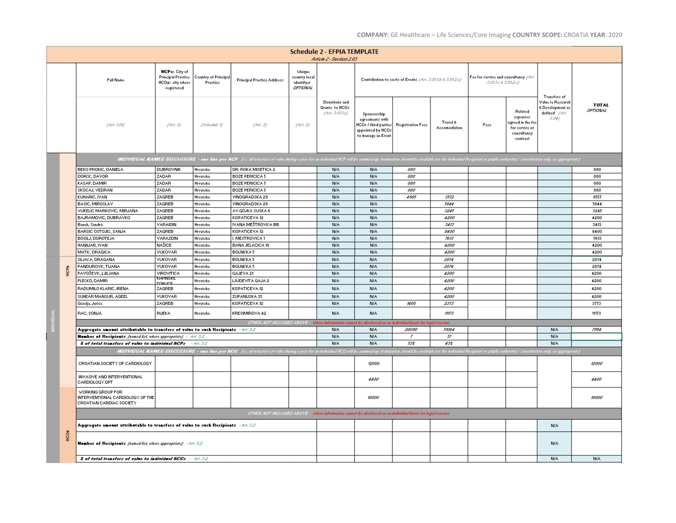|  |            |                                                                                              |                                                                                     |                                                                                                                                                                                                                                |                                                                                                                                                                                                                                |                                                   | <b>Schedule 2 - EFPIA TEMPLATE</b><br>Article 2 - Section 2.03 |                                                                                                     |                                  |                          |                                                              |                                                                                       |                                                                                |                        |
|--|------------|----------------------------------------------------------------------------------------------|-------------------------------------------------------------------------------------|--------------------------------------------------------------------------------------------------------------------------------------------------------------------------------------------------------------------------------|--------------------------------------------------------------------------------------------------------------------------------------------------------------------------------------------------------------------------------|---------------------------------------------------|----------------------------------------------------------------|-----------------------------------------------------------------------------------------------------|----------------------------------|--------------------------|--------------------------------------------------------------|---------------------------------------------------------------------------------------|--------------------------------------------------------------------------------|------------------------|
|  |            | <b>Full Name</b>                                                                             | <b>HCPs: City of</b><br><b>Principal Practice</b><br>HCOst city where<br>registered | Country of Principal<br>Practice                                                                                                                                                                                               | Principal Practice Address                                                                                                                                                                                                     | Unique<br>country local<br>identifyer<br>OPTIONAL |                                                                | Contribution to costs of Events / Art. S.Of.1.b & S.Of.2.b/                                         |                                  |                          | Fee for service and consultancy (Art.<br>S.01.1c & S.01.2.c) |                                                                                       |                                                                                |                        |
|  |            | (Art. 1.01)                                                                                  | (Art, S)                                                                            | (Schedule I)                                                                                                                                                                                                                   | (Art, S)                                                                                                                                                                                                                       | (Art, S)                                          | Donations and<br>Grants to HCOs<br>Art.S. Olt.a)               | Sponsorship<br>agreements with<br>HCOs / third parties  <br>appointed by HCOs<br>to manage an Event | <b>Registration Fees</b>         | Travel &<br>Accomodation | Fees                                                         | Related<br>expenses<br>agreed in the fee<br>for service or<br>consultancy<br>contract | Transfers of<br>Value re Research<br>& Development as<br>defined //4zc<br>5.04 | <b>TOTAL</b><br>ортюми |
|  |            |                                                                                              |                                                                                     |                                                                                                                                                                                                                                | INDIVIDUAL NAMED DISCLOSURE - one line per NCP (i.e. all transfers of value during a year for an individual HCP will be summed up: itemiostics should be available for the individual Recipient or public authorities' consult |                                                   |                                                                |                                                                                                     |                                  |                          |                                                              |                                                                                       |                                                                                |                        |
|  |            | <b>BEKO PROKIC, DANIELA</b>                                                                  | <b>DUBROVNIK</b>                                                                    | Hrvatska                                                                                                                                                                                                                       | DR. ROKA MISETICA 2                                                                                                                                                                                                            |                                                   | N/A                                                            | <b>N/A</b>                                                                                          | 880                              |                          |                                                              |                                                                                       |                                                                                | 880                    |
|  |            | DORČIĆ, DAVOR                                                                                | ZADAR                                                                               | Hrvatska                                                                                                                                                                                                                       | <b>BOZE PERICICA 5</b>                                                                                                                                                                                                         |                                                   | <b>N/A</b>                                                     | <b>N/A</b>                                                                                          | 880                              |                          |                                                              |                                                                                       |                                                                                | 880                    |
|  |            | KASAP, DAMIR                                                                                 | ZADAR                                                                               | Hrvatska                                                                                                                                                                                                                       | <b>BOZE PERICICA 5</b>                                                                                                                                                                                                         |                                                   | N/A                                                            | <b>N/A</b>                                                                                          | 880                              |                          |                                                              |                                                                                       |                                                                                | 880                    |
|  |            | SKOCAJ, VEDRANI                                                                              | ZADAR                                                                               | Hrvatska                                                                                                                                                                                                                       | <b>BOZE PERICICA 5</b>                                                                                                                                                                                                         |                                                   | N/A                                                            | <b>N/A</b>                                                                                          | 880                              |                          |                                                              |                                                                                       |                                                                                | 880                    |
|  |            | KUHARIC, IVAN                                                                                | ZAGREB                                                                              | Hrvatska                                                                                                                                                                                                                       | VINOGRADSKA 29                                                                                                                                                                                                                 |                                                   | N/A                                                            | <b>N/A</b>                                                                                          | 4.985                            | 5572                     |                                                              |                                                                                       |                                                                                | 8557                   |
|  |            | <b>BASIC, MIROSLAV</b>                                                                       | ZAGREB                                                                              | Hrvatska                                                                                                                                                                                                                       | VINOGRADSKA 29                                                                                                                                                                                                                 |                                                   | <b>N/A</b>                                                     | <b>N/A</b>                                                                                          |                                  | 5844                     |                                                              |                                                                                       |                                                                                | 5844                   |
|  |            | VUKELIC MARKOVIC, MIRJANA                                                                    | ZAGREB                                                                              | Hrvatska                                                                                                                                                                                                                       | AV.GOJKA SUSKA 6                                                                                                                                                                                                               |                                                   | <b>N/A</b>                                                     | <b>N/A</b>                                                                                          |                                  | 5245                     |                                                              |                                                                                       |                                                                                | 3245                   |
|  |            | BAJRAMOVIC, DUBRAVKO                                                                         | ZAGREB                                                                              | Hrvatska                                                                                                                                                                                                                       | KISPATICEVA 12                                                                                                                                                                                                                 |                                                   | <b>N/A</b>                                                     | <b>N/A</b>                                                                                          |                                  | 4200                     |                                                              |                                                                                       |                                                                                | 4200                   |
|  |            | Banek, Sandra                                                                                | VARAIDIN                                                                            | Hrvatska                                                                                                                                                                                                                       | IVANA MEŠTROVIĆA BB                                                                                                                                                                                                            |                                                   | <b>N/A</b>                                                     | <b>N/A</b>                                                                                          |                                  | 5415                     |                                                              |                                                                                       |                                                                                | 3413                   |
|  |            | <b>BARSIC OSTOJIC, SANJA</b>                                                                 | ZAGREB                                                                              | Hrvatska                                                                                                                                                                                                                       | KISPATICEVA 12                                                                                                                                                                                                                 |                                                   | <b>N/A</b>                                                     | <b>N/A</b>                                                                                          |                                  | 8400                     |                                                              |                                                                                       |                                                                                | 8400                   |
|  |            |                                                                                              | VARAZDIN                                                                            |                                                                                                                                                                                                                                |                                                                                                                                                                                                                                |                                                   | <b>N/A</b>                                                     | <b>N/A</b>                                                                                          |                                  |                          |                                                              |                                                                                       |                                                                                | 7613                   |
|  |            | BOSILJ, DOROTEJA                                                                             |                                                                                     | Hrvatska                                                                                                                                                                                                                       | I. MESTROVICA 1                                                                                                                                                                                                                |                                                   |                                                                |                                                                                                     |                                  | 7815                     |                                                              |                                                                                       |                                                                                |                        |
|  |            | HANIDAR, IVAN                                                                                | NAŠICE                                                                              | Hrvatska                                                                                                                                                                                                                       | <b>BANA JELACICA 10</b>                                                                                                                                                                                                        |                                                   | <b>N/A</b>                                                     | <b>N/A</b>                                                                                          |                                  | 4200                     |                                                              |                                                                                       |                                                                                | 4200                   |
|  |            | MATIČ, DRAGICA                                                                               | VUKOVAR                                                                             | Hrvatska                                                                                                                                                                                                                       | BOLNIČKA 5                                                                                                                                                                                                                     |                                                   | <b>N/A</b>                                                     | <b>N/A</b>                                                                                          |                                  | 4200                     |                                                              |                                                                                       |                                                                                | 4200                   |
|  |            | OLJAČA, DRAGANA                                                                              | VUKOVAR                                                                             | Hrvatska                                                                                                                                                                                                                       | <b>BOLNIČKA 5</b>                                                                                                                                                                                                              |                                                   | <b>N/A</b>                                                     | <b>N/A</b>                                                                                          |                                  | 2874                     |                                                              |                                                                                       |                                                                                | 2874                   |
|  |            | PANDUROVIĆ, TIJANA                                                                           | VUKOVAR                                                                             | Hrvatska                                                                                                                                                                                                                       | BOLNIČKA 5                                                                                                                                                                                                                     |                                                   | <b>N/A</b>                                                     | <b>N/A</b>                                                                                          |                                  | 2874                     |                                                              |                                                                                       |                                                                                | 2874                   |
|  | <b>ACR</b> | PAVOŠEVIĆ, LJILJANA                                                                          | VIROVITICA                                                                          | Hrvatska                                                                                                                                                                                                                       | GAJEVA 21                                                                                                                                                                                                                      |                                                   | <b>N/A</b>                                                     | <b>N/A</b>                                                                                          |                                  | 4200                     |                                                              |                                                                                       |                                                                                | 4200                   |
|  |            | PLEČKO, DAMIR                                                                                | KRPINSKE<br><b>CORLICE</b>                                                          | Hrvatska                                                                                                                                                                                                                       | LJUDEVITA GAJA 2                                                                                                                                                                                                               |                                                   | <b>N/A</b>                                                     | <b>N/A</b>                                                                                          |                                  | 4200                     |                                                              |                                                                                       |                                                                                | 4200                   |
|  |            | RADUMILO KLARIC, IRENA                                                                       | ZAGREB                                                                              | Hrvatska                                                                                                                                                                                                                       | KISPATICEVA 12                                                                                                                                                                                                                 |                                                   | <b>N/A</b>                                                     | <b>N/A</b>                                                                                          |                                  | 4200                     |                                                              |                                                                                       |                                                                                | 4200                   |
|  |            | SUHEAR MANSUR, AGEEL                                                                         | VUKOVAR                                                                             | Hrvatska                                                                                                                                                                                                                       | ZUPANIJSKA 35                                                                                                                                                                                                                  |                                                   | <b>N/A</b>                                                     | <b>N/A</b>                                                                                          |                                  | 4200                     |                                                              |                                                                                       |                                                                                | 4200                   |
|  |            | Greelja, Jurica                                                                              | ZAGREB                                                                              | Hrvatska                                                                                                                                                                                                                       | KISPATICEVA 12                                                                                                                                                                                                                 |                                                   | <b>N/A</b>                                                     | <b>N/A</b>                                                                                          | 1400                             | 2575                     |                                                              |                                                                                       |                                                                                | 3773                   |
|  |            | RAC, SONJA                                                                                   | <b>RIJEKA</b>                                                                       | Hrvatska                                                                                                                                                                                                                       | KRESIMIROVA 42                                                                                                                                                                                                                 |                                                   | N/A                                                            | <b>N/A</b>                                                                                          |                                  | mms                      |                                                              |                                                                                       |                                                                                | 11173                  |
|  |            |                                                                                              |                                                                                     |                                                                                                                                                                                                                                | OTHER, NOT INCLUDED ABOVE - where information cannot be disclosed on an indi                                                                                                                                                   |                                                   |                                                                |                                                                                                     | .<br>Wal basis for legal reasons |                          |                                                              |                                                                                       |                                                                                |                        |
|  |            | Aggregate amount attributable to transfers of value to such Recipients $+4\pi\ell\beta\beta$ |                                                                                     |                                                                                                                                                                                                                                |                                                                                                                                                                                                                                |                                                   |                                                                | <b>N/A</b>                                                                                          | 20090                            | 51064                    |                                                              |                                                                                       | <b>N/A</b>                                                                     | 71154                  |
|  |            | <b>Number of Recipients</b> (named list, where appropriate) - Art. 3.2                       |                                                                                     |                                                                                                                                                                                                                                |                                                                                                                                                                                                                                |                                                   | <b>N/A</b>                                                     | <b>N/A</b>                                                                                          | $\bar{r}$                        | ĸ                        |                                                              |                                                                                       | <b>N/A</b>                                                                     |                        |
|  |            | 2 of total transfers of value to individual NCPs                                             |                                                                                     | $-$ Art. 3.2                                                                                                                                                                                                                   |                                                                                                                                                                                                                                |                                                   | <b>N/A</b>                                                     | <b>N/A</b>                                                                                          | 531                              | 4.81                     |                                                              |                                                                                       | <b>N/A</b>                                                                     |                        |
|  |            |                                                                                              |                                                                                     | INDIVIDUAL NAMED DISCLOSURE - one line per NCO (i.e. all transfers of value during a your for an individual NCO will be summed up: itemization should be available for the individual Recipient or public authorities' consult |                                                                                                                                                                                                                                |                                                   |                                                                |                                                                                                     |                                  |                          |                                                              |                                                                                       |                                                                                |                        |
|  |            | CROATIAN SOCIETY OF CARDIOLOGY                                                               |                                                                                     |                                                                                                                                                                                                                                |                                                                                                                                                                                                                                |                                                   |                                                                | 12000                                                                                               |                                  |                          |                                                              |                                                                                       |                                                                                | 12000                  |
|  |            | INVASIVE AND INTERVENTIONAL<br>CARDIOLOGY DPT                                                |                                                                                     |                                                                                                                                                                                                                                |                                                                                                                                                                                                                                |                                                   |                                                                | 4400                                                                                                |                                  |                          |                                                              |                                                                                       |                                                                                | 4400                   |
|  |            | WORKING GROUP FOR<br>INTERVENTIONAL CARDIOLOGY OF THE<br>CROATIAN CARDIAC SOCIETY            |                                                                                     |                                                                                                                                                                                                                                |                                                                                                                                                                                                                                |                                                   |                                                                | 10000                                                                                               |                                  |                          |                                                              |                                                                                       |                                                                                | 10000                  |
|  |            |                                                                                              |                                                                                     |                                                                                                                                                                                                                                | CTHER, NOT INCLUDED ABOVE - where information cannot be disclosed on an individual basis for legal reasons                                                                                                                     |                                                   |                                                                |                                                                                                     |                                  |                          |                                                              |                                                                                       |                                                                                |                        |
|  |            | Aggregate amount attributable to transfers of value to such Recipients $+3\pi/3\beta$        |                                                                                     |                                                                                                                                                                                                                                |                                                                                                                                                                                                                                |                                                   |                                                                |                                                                                                     |                                  |                          |                                                              |                                                                                       | <b>N/A</b>                                                                     |                        |
|  | <b>S</b>   | <b>Number of Recipients</b> [named list, where appropriate] - Art. S.2.                      |                                                                                     |                                                                                                                                                                                                                                |                                                                                                                                                                                                                                |                                                   |                                                                |                                                                                                     |                                  |                          |                                                              |                                                                                       | <b>N/A</b>                                                                     |                        |
|  |            | 2 of total transfers of value to individual HCOs - Art. 3.2                                  |                                                                                     |                                                                                                                                                                                                                                |                                                                                                                                                                                                                                |                                                   |                                                                |                                                                                                     |                                  |                          |                                                              |                                                                                       | <b>N/A</b>                                                                     | <b>N/A</b>             |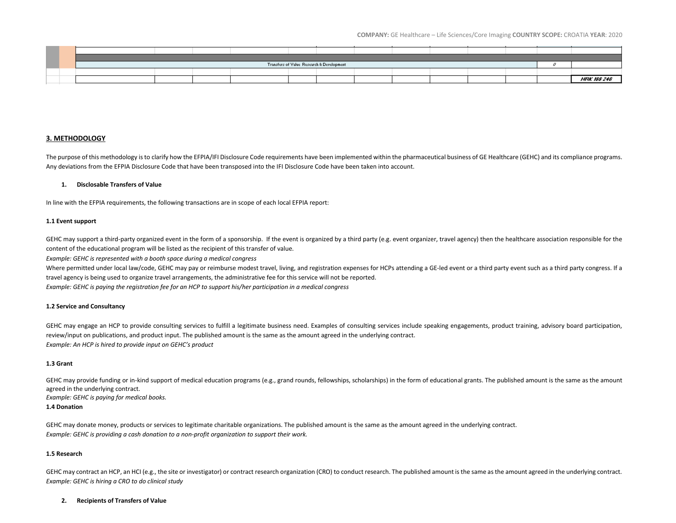**COMPANY:** GE Healthcare – Life Sciences/Core Imaging **COUNTRY SCOPE:** CROATIA **YEAR**: 2020

|  | Transfers of Value Research & Development |  |  |  |  |  |  |  |  |  |  |                    |
|--|-------------------------------------------|--|--|--|--|--|--|--|--|--|--|--------------------|
|  |                                           |  |  |  |  |  |  |  |  |  |  |                    |
|  |                                           |  |  |  |  |  |  |  |  |  |  | <b>HFK 188 240</b> |

## **3. METHODOLOGY**

The purpose of this methodology is to clarify how the EFPIA/IFI Disclosure Code requirements have been implemented within the pharmaceutical business of GE Healthcare (GEHC) and its compliance programs. Any deviations from the EFPIA Disclosure Code that have been transposed into the IFI Disclosure Code have been taken into account.

## **1. Disclosable Transfers of Value**

In line with the EFPIA requirements, the following transactions are in scope of each local EFPIA report:

## **1.1 Event support**

GEHC may support a third-party organized event in the form of a sponsorship. If the event is organized by a third party (e.g. event organizer, travel agency) then the healthcare association responsible for the content of the educational program will be listed as the recipient of this transfer of value.

*Example: GEHC is represented with a booth space during a medical congress*

Where permitted under local law/code, GEHC may pay or reimburse modest travel, living, and registration expenses for HCPs attending a GE-led event or a third party event such as a third party congress. If a travel agency is being used to organize travel arrangements, the administrative fee for this service will not be reported.

*Example: GEHC is paying the registration fee for an HCP to support his/her participation in a medical congress*

## **1.2 Service and Consultancy**

GEHC may engage an HCP to provide consulting services to fulfill a legitimate business need. Examples of consulting services include speaking engagements, product training, advisory board participation, review/input on publications, and product input. The published amount is the same as the amount agreed in the underlying contract. *Example: An HCP is hired to provide input on GEHC's product*

## **1.3 Grant**

GEHC may provide funding or in-kind support of medical education programs (e.g., grand rounds, fellowships, scholarships) in the form of educational grants. The published amount is the same as the amount agreed in the underlying contract.

*Example: GEHC is paying for medical books.*

## **1.4 Donation**

GEHC may donate money, products or services to legitimate charitable organizations. The published amount is the same as the amount agreed in the underlying contract. *Example: GEHC is providing a cash donation to a non-profit organization to support their work.*

## **1.5 Research**

GEHC may contract an HCP, an HCI (e.g., the site or investigator) or contract research organization (CRO) to conduct research. The published amount is the same as the amount agreed in the underlying contract. *Example: GEHC is hiring a CRO to do clinical study*

## **2. Recipients of Transfers of Value**